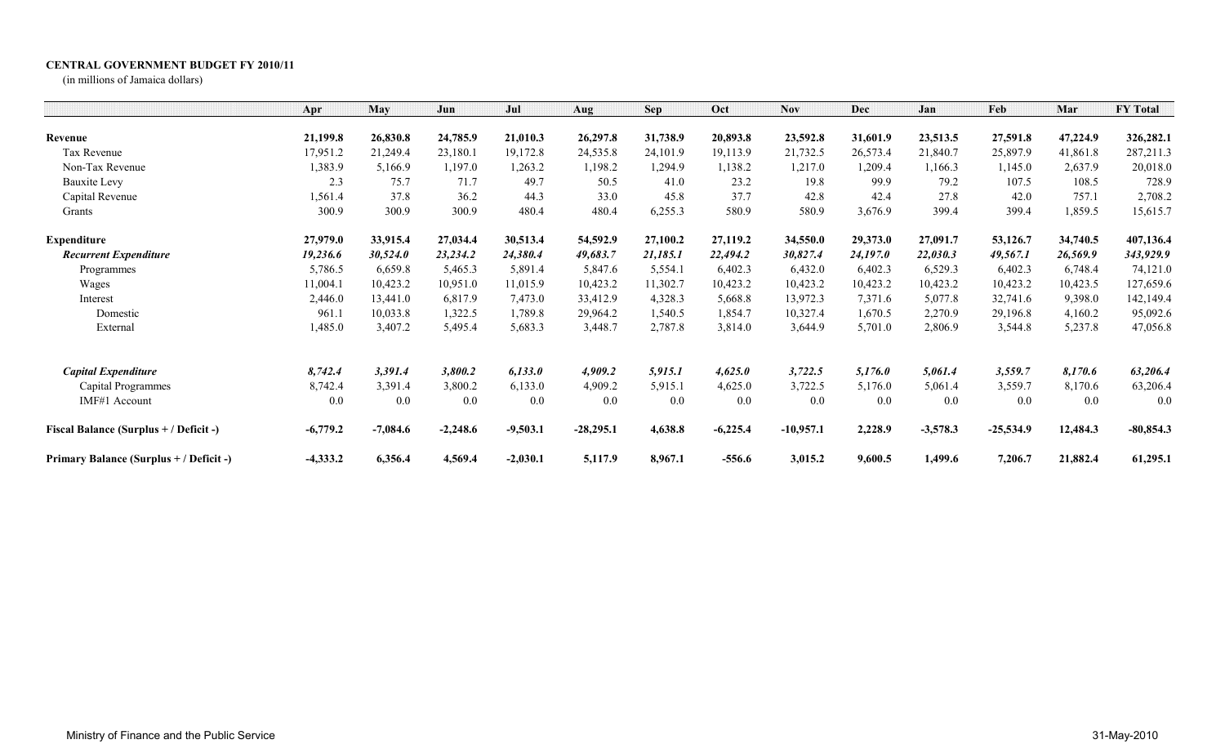## **CENTRAL GOVERNMENT BUDGET FY 2010/11**

(in millions of Jamaica dollars)

|                                         | Apr        | May        | Jun        | Jul        | Aug         | <b>Sep</b> | Oct        | <b>Nov</b>  | <b>Dec</b> | Jan        | Feb         | Mar      | <b>FY Total</b> |
|-----------------------------------------|------------|------------|------------|------------|-------------|------------|------------|-------------|------------|------------|-------------|----------|-----------------|
| Revenue                                 | 21,199.8   | 26,830.8   | 24,785.9   | 21,010.3   | 26,297.8    | 31,738.9   | 20,893.8   | 23,592.8    | 31,601.9   | 23,513.5   | 27,591.8    | 47,224.9 | 326,282.1       |
| Tax Revenue                             | 17,951.2   | 21,249.4   | 23,180.1   | 19,172.8   | 24,535.8    | 24,101.9   | 19,113.9   | 21,732.5    | 26,573.4   | 21,840.7   | 25,897.9    | 41,861.8 | 287,211.3       |
| Non-Tax Revenue                         | 1,383.9    | 5,166.9    | 1,197.0    | 1,263.2    | 1,198.2     | 1,294.9    | 1,138.2    | 1,217.0     | 1,209.4    | 1,166.3    | 1,145.0     | 2,637.9  | 20,018.0        |
| <b>Bauxite Levy</b>                     | 2.3        | 75.7       | 71.7       | 49.7       | 50.5        | 41.0       | 23.2       | 19.8        | 99.9       | 79.2       | 107.5       | 108.5    | 728.9           |
| Capital Revenue                         | 1,561.4    | 37.8       | 36.2       | 44.3       | 33.0        | 45.8       | 37.7       | 42.8        | 42.4       | 27.8       | 42.0        | 757.1    | 2,708.2         |
| Grants                                  | 300.9      | 300.9      | 300.9      | 480.4      | 480.4       | 6,255.3    | 580.9      | 580.9       | 3,676.9    | 399.4      | 399.4       | 1,859.5  | 15,615.7        |
| <b>Expenditure</b>                      | 27,979.0   | 33,915.4   | 27,034.4   | 30,513.4   | 54,592.9    | 27,100.2   | 27,119.2   | 34,550.0    | 29,373.0   | 27,091.7   | 53,126.7    | 34,740.5 | 407,136.4       |
| <b>Recurrent Expenditure</b>            | 19,236.6   | 30,524.0   | 23,234.2   | 24,380.4   | 49,683.7    | 21,185.1   | 22,494.2   | 30,827.4    | 24,197.0   | 22,030.3   | 49,567.1    | 26,569.9 | 343,929.9       |
| Programmes                              | 5,786.5    | 6,659.8    | 5,465.3    | 5,891.4    | 5,847.6     | 5,554.1    | 6,402.3    | 6,432.0     | 6,402.3    | 6,529.3    | 6,402.3     | 6,748.4  | 74,121.0        |
| Wages                                   | 11,004.1   | 10,423.2   | 10,951.0   | 11,015.9   | 10,423.2    | 11,302.7   | 10,423.2   | 10,423.2    | 10,423.2   | 10,423.2   | 10,423.2    | 10,423.5 | 127,659.6       |
| Interest                                | 2,446.0    | 13,441.0   | 6,817.9    | 7,473.0    | 33,412.9    | 4,328.3    | 5,668.8    | 13,972.3    | 7,371.6    | 5,077.8    | 32,741.6    | 9,398.0  | 142,149.4       |
| Domestic                                | 961.1      | 10,033.8   | 1,322.5    | 1,789.8    | 29,964.2    | 1,540.5    | 1,854.7    | 10,327.4    | 1,670.5    | 2,270.9    | 29,196.8    | 4,160.2  | 95,092.6        |
| External                                | 1,485.0    | 3,407.2    | 5,495.4    | 5,683.3    | 3,448.7     | 2,787.8    | 3,814.0    | 3,644.9     | 5,701.0    | 2,806.9    | 3,544.8     | 5,237.8  | 47,056.8        |
| <b>Capital Expenditure</b>              | 8,742.4    | 3,391.4    | 3,800.2    | 6,133.0    | 4,909.2     | 5,915.1    | 4,625.0    | 3,722.5     | 5,176.0    | 5,061.4    | 3,559.7     | 8,170.6  | 63,206.4        |
| Capital Programmes                      | 8,742.4    | 3,391.4    | 3,800.2    | 6,133.0    | 4,909.2     | 5,915.1    | 4,625.0    | 3,722.5     | 5,176.0    | 5,061.4    | 3,559.7     | 8,170.6  | 63,206.4        |
| IMF#1 Account                           | 0.0        | 0.0        | 0.0        | 0.0        | 0.0         | 0.0        | 0.0        | 0.0         | 0.0        | 0.0        | 0.0         | 0.0      | 0.0             |
| Fiscal Balance (Surplus + / Deficit -)  | $-6,779.2$ | $-7,084.6$ | $-2,248.6$ | $-9,503.1$ | $-28,295.1$ | 4,638.8    | $-6,225.4$ | $-10,957.1$ | 2,228.9    | $-3,578.3$ | $-25,534.9$ | 12,484.3 | $-80,854.3$     |
| Primary Balance (Surplus + / Deficit -) | $-4,333.2$ | 6,356.4    | 4,569.4    | $-2,030.1$ | 5,117.9     | 8,967.1    | $-556.6$   | 3,015.2     | 9,600.5    | 1,499.6    | 7,206.7     | 21,882.4 | 61,295.1        |